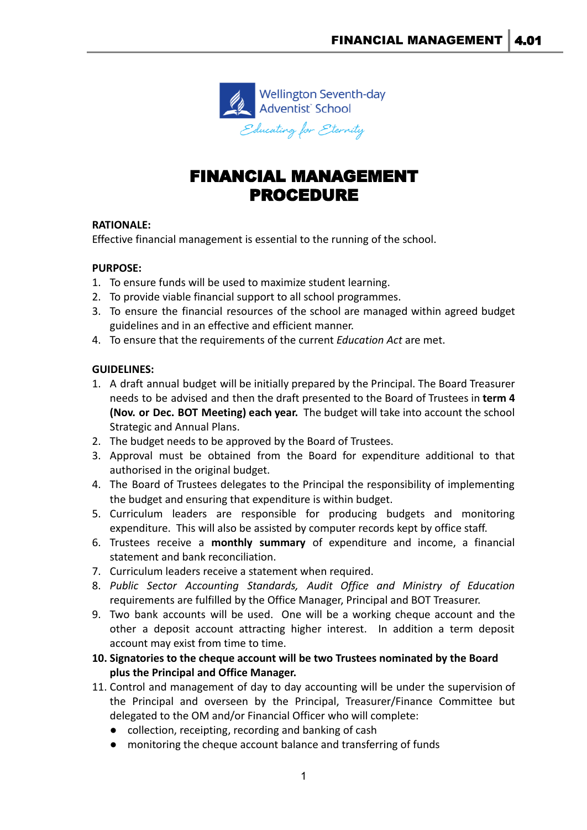

# FINANCIAL MANAGEMENT PROCEDURE

#### **RATIONALE:**

Effective financial management is essential to the running of the school.

#### **PURPOSE:**

- 1. To ensure funds will be used to maximize student learning.
- 2. To provide viable financial support to all school programmes.
- 3. To ensure the financial resources of the school are managed within agreed budget guidelines and in an effective and efficient manner.
- 4. To ensure that the requirements of the current *Education Act* are met.

#### **GUIDELINES:**

- 1. A draft annual budget will be initially prepared by the Principal. The Board Treasurer needs to be advised and then the draft presented to the Board of Trustees in **term 4 (Nov. or Dec. BOT Meeting) each year.** The budget will take into account the school Strategic and Annual Plans.
- 2. The budget needs to be approved by the Board of Trustees.
- 3. Approval must be obtained from the Board for expenditure additional to that authorised in the original budget.
- 4. The Board of Trustees delegates to the Principal the responsibility of implementing the budget and ensuring that expenditure is within budget.
- 5. Curriculum leaders are responsible for producing budgets and monitoring expenditure. This will also be assisted by computer records kept by office staff.
- 6. Trustees receive a **monthly summary** of expenditure and income, a financial statement and bank reconciliation.
- 7. Curriculum leaders receive a statement when required.
- 8. *Public Sector Accounting Standards, Audit Office and Ministry of Education* requirements are fulfilled by the Office Manager, Principal and BOT Treasurer.
- 9. Two bank accounts will be used. One will be a working cheque account and the other a deposit account attracting higher interest. In addition a term deposit account may exist from time to time.
- **10. Signatories to the cheque account will be two Trustees nominated by the Board plus the Principal and Office Manager.**
- 11. Control and management of day to day accounting will be under the supervision of the Principal and overseen by the Principal, Treasurer/Finance Committee but delegated to the OM and/or Financial Officer who will complete:
	- collection, receipting, recording and banking of cash
	- monitoring the cheque account balance and transferring of funds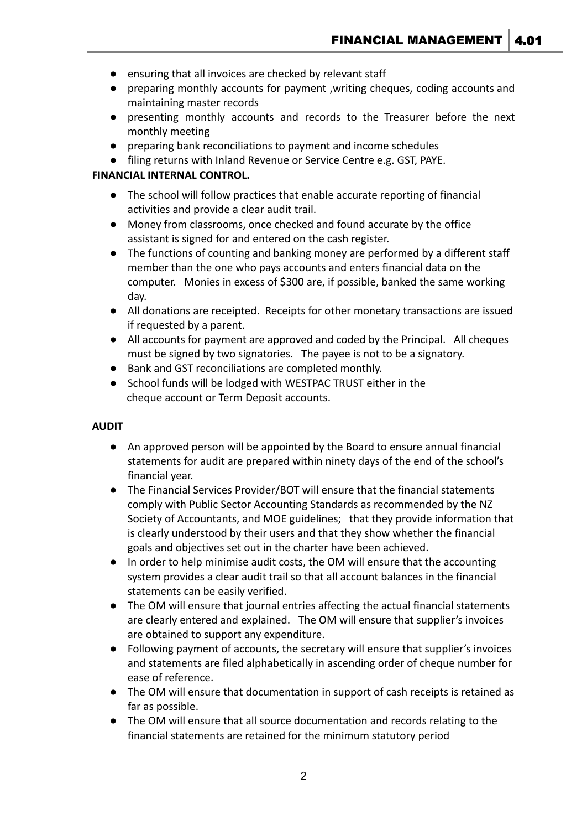- ensuring that all invoices are checked by relevant staff
- preparing monthly accounts for payment ,writing cheques, coding accounts and maintaining master records
- presenting monthly accounts and records to the Treasurer before the next monthly meeting
- preparing bank reconciliations to payment and income schedules
- filing returns with Inland Revenue or Service Centre e.g. GST, PAYE.

## **FINANCIAL INTERNAL CONTROL.**

- The school will follow practices that enable accurate reporting of financial activities and provide a clear audit trail.
- Money from classrooms, once checked and found accurate by the office assistant is signed for and entered on the cash register.
- The functions of counting and banking money are performed by a different staff member than the one who pays accounts and enters financial data on the computer. Monies in excess of \$300 are, if possible, banked the same working day.
- All donations are receipted. Receipts for other monetary transactions are issued if requested by a parent.
- All accounts for payment are approved and coded by the Principal. All cheques must be signed by two signatories. The payee is not to be a signatory.
- Bank and GST reconciliations are completed monthly.
- School funds will be lodged with WESTPAC TRUST either in the cheque account or Term Deposit accounts.

#### **AUDIT**

- An approved person will be appointed by the Board to ensure annual financial statements for audit are prepared within ninety days of the end of the school's financial year.
- The Financial Services Provider/BOT will ensure that the financial statements comply with Public Sector Accounting Standards as recommended by the NZ Society of Accountants, and MOE guidelines; that they provide information that is clearly understood by their users and that they show whether the financial goals and objectives set out in the charter have been achieved.
- In order to help minimise audit costs, the OM will ensure that the accounting system provides a clear audit trail so that all account balances in the financial statements can be easily verified.
- The OM will ensure that journal entries affecting the actual financial statements are clearly entered and explained. The OM will ensure that supplier's invoices are obtained to support any expenditure.
- Following payment of accounts, the secretary will ensure that supplier's invoices and statements are filed alphabetically in ascending order of cheque number for ease of reference.
- The OM will ensure that documentation in support of cash receipts is retained as far as possible.
- The OM will ensure that all source documentation and records relating to the financial statements are retained for the minimum statutory period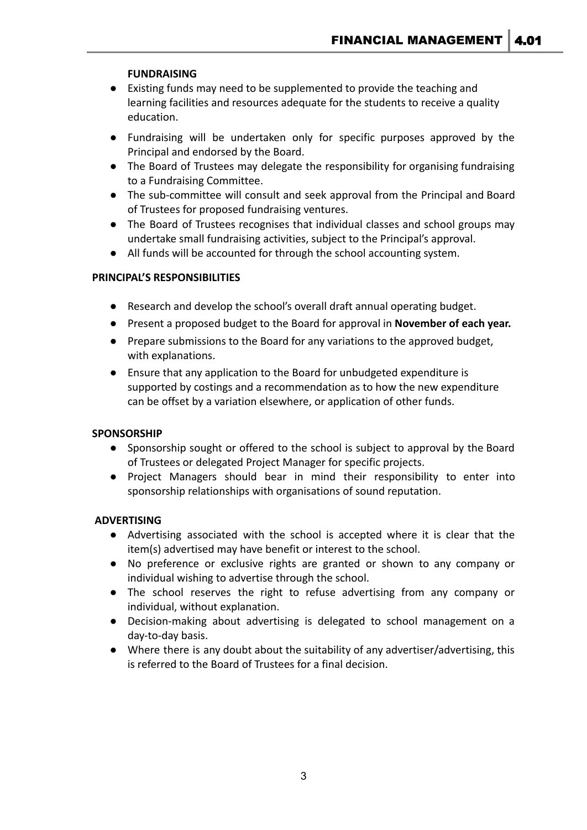## **FUNDRAISING**

- Existing funds may need to be supplemented to provide the teaching and learning facilities and resources adequate for the students to receive a quality education.
- Fundraising will be undertaken only for specific purposes approved by the Principal and endorsed by the Board.
- The Board of Trustees may delegate the responsibility for organising fundraising to a Fundraising Committee.
- The sub-committee will consult and seek approval from the Principal and Board of Trustees for proposed fundraising ventures.
- The Board of Trustees recognises that individual classes and school groups may undertake small fundraising activities, subject to the Principal's approval.
- All funds will be accounted for through the school accounting system.

#### **PRINCIPAL'S RESPONSIBILITIES**

- Research and develop the school's overall draft annual operating budget.
- Present a proposed budget to the Board for approval in **November of each year.**
- Prepare submissions to the Board for any variations to the approved budget, with explanations.
- Ensure that any application to the Board for unbudgeted expenditure is supported by costings and a recommendation as to how the new expenditure can be offset by a variation elsewhere, or application of other funds.

#### **SPONSORSHIP**

- **●** Sponsorship sought or offered to the school is subject to approval by the Board of Trustees or delegated Project Manager for specific projects.
- **●** Project Managers should bear in mind their responsibility to enter into sponsorship relationships with organisations of sound reputation.

#### **ADVERTISING**

- Advertising associated with the school is accepted where it is clear that the item(s) advertised may have benefit or interest to the school.
- No preference or exclusive rights are granted or shown to any company or individual wishing to advertise through the school.
- The school reserves the right to refuse advertising from any company or individual, without explanation.
- Decision-making about advertising is delegated to school management on a day-to-day basis.
- Where there is any doubt about the suitability of any advertiser/advertising, this is referred to the Board of Trustees for a final decision.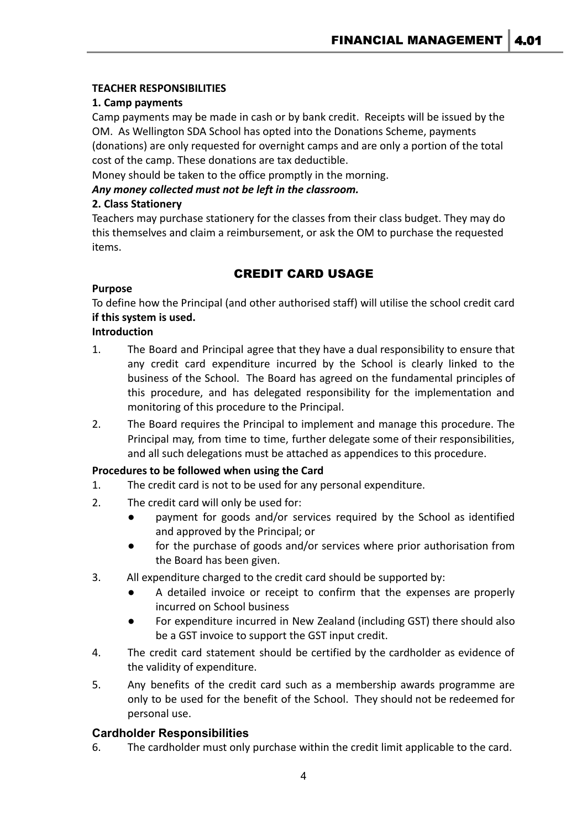## **TEACHER RESPONSIBILITIES**

## **1. Camp payments**

Camp payments may be made in cash or by bank credit. Receipts will be issued by the OM. As Wellington SDA School has opted into the Donations Scheme, payments (donations) are only requested for overnight camps and are only a portion of the total cost of the camp. These donations are tax deductible.

Money should be taken to the office promptly in the morning.

*Any money collected must not be left in the classroom.*

## **2. Class Stationery**

Teachers may purchase stationery for the classes from their class budget. They may do this themselves and claim a reimbursement, or ask the OM to purchase the requested items.

## CREDIT CARD USAGE

## **Purpose**

To define how the Principal (and other authorised staff) will utilise the school credit card **if this system is used.**

#### **Introduction**

- 1. The Board and Principal agree that they have a dual responsibility to ensure that any credit card expenditure incurred by the School is clearly linked to the business of the School. The Board has agreed on the fundamental principles of this procedure, and has delegated responsibility for the implementation and monitoring of this procedure to the Principal.
- 2. The Board requires the Principal to implement and manage this procedure. The Principal may, from time to time, further delegate some of their responsibilities, and all such delegations must be attached as appendices to this procedure.

## **Procedures to be followed when using the Card**

- 1. The credit card is not to be used for any personal expenditure.
- 2. The credit card will only be used for:
	- payment for goods and/or services required by the School as identified and approved by the Principal; or
	- for the purchase of goods and/or services where prior authorisation from the Board has been given.
- 3. All expenditure charged to the credit card should be supported by:
	- A detailed invoice or receipt to confirm that the expenses are properly incurred on School business
	- For expenditure incurred in New Zealand (including GST) there should also be a GST invoice to support the GST input credit.
- 4. The credit card statement should be certified by the cardholder as evidence of the validity of expenditure.
- 5. Any benefits of the credit card such as a membership awards programme are only to be used for the benefit of the School. They should not be redeemed for personal use.

## **Cardholder Responsibilities**

6. The cardholder must only purchase within the credit limit applicable to the card.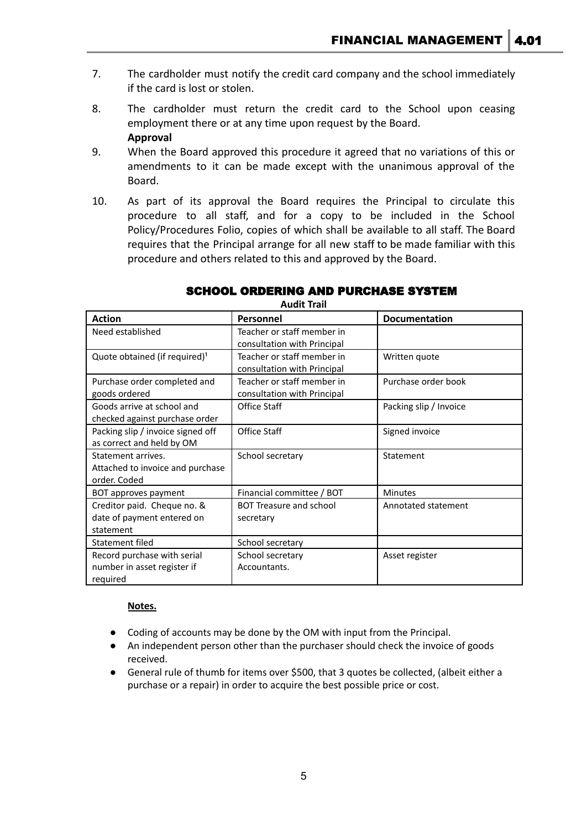- 7. The cardholder must notify the credit card company and the school immediately if the card is lost or stolen.
- 8. The cardholder must return the credit card to the School upon ceasing employment there or at any time upon request by the Board. **Approval**
- 9. When the Board approved this procedure it agreed that no variations of this or amendments to it can be made except with the unanimous approval of the Board.
- 10. As part of its approval the Board requires the Principal to circulate this procedure to all staff, and for a copy to be included in the School Policy/Procedures Folio, copies of which shall be available to all staff. The Board requires that the Principal arrange for all new staff to be made familiar with this procedure and others related to this and approved by the Board.

| Auult IIdii                               |                                |                        |
|-------------------------------------------|--------------------------------|------------------------|
| <b>Action</b>                             | Personnel                      | <b>Documentation</b>   |
| Need established                          | Teacher or staff member in     |                        |
|                                           | consultation with Principal    |                        |
| Quote obtained (if required) <sup>1</sup> | Teacher or staff member in     | Written quote          |
|                                           | consultation with Principal    |                        |
| Purchase order completed and              | Teacher or staff member in     | Purchase order book    |
| goods ordered                             | consultation with Principal    |                        |
| Goods arrive at school and                | Office Staff                   | Packing slip / Invoice |
| checked against purchase order            |                                |                        |
| Packing slip / invoice signed off         | Office Staff                   | Signed invoice         |
| as correct and held by OM                 |                                |                        |
| Statement arrives.                        | School secretary               | Statement              |
| Attached to invoice and purchase          |                                |                        |
| order. Coded                              |                                |                        |
| BOT approves payment                      | Financial committee / BOT      | <b>Minutes</b>         |
| Creditor paid. Cheque no. &               | <b>BOT Treasure and school</b> | Annotated statement    |
| date of payment entered on                | secretary                      |                        |
| statement                                 |                                |                        |
| Statement filed                           | School secretary               |                        |
| Record purchase with serial               | School secretary               | Asset register         |
| number in asset register if               | Accountants.                   |                        |
| required                                  |                                |                        |

## SCHOOL ORDERING AND PURCHASE SYSTEM

**Audit Trail**

#### **Notes.**

- Coding of accounts may be done by the OM with input from the Principal.
- An independent person other than the purchaser should check the invoice of goods received.
- General rule of thumb for items over \$500, that 3 quotes be collected, (albeit either a purchase or a repair) in order to acquire the best possible price or cost.